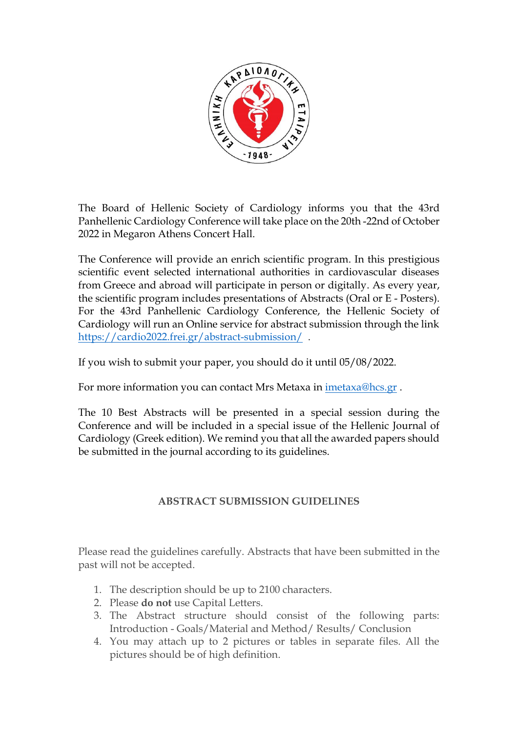

The Board of Hellenic Society of Cardiology informs you that the 43rd Panhellenic Cardiology Conference will take place on the 20th -22nd of October 2022 in Megaron Athens Concert Hall.

The Conference will provide an enrich scientific program. In this prestigious scientific event selected international authorities in cardiovascular diseases from Greece and abroad will participate in person or digitally. As every year, the scientific program includes presentations of Abstracts (Oral or E - Posters). For the 43rd Panhellenic Cardiology Conference, the Hellenic Society of Cardiology will run an Online service for abstract submission through the link <https://cardio2022.frei.gr/abstract-submission/>.

If you wish to submit your paper, you should do it until 05/08/2022.

For more information you can contact Mrs Metaxa in [imetaxa@hcs.gr](mailto:imetaxa@hcs.gr) .

The 10 Best Abstracts will be presented in a special session during the Conference and will be included in a special issue of the Hellenic Journal of Cardiology (Greek edition). We remind you that all the awarded papers should be submitted in the journal according to its guidelines.

## **ABSTRACT SUBMISSION GUIDELINES**

Please read the guidelines carefully. Abstracts that have been submitted in the past will not be accepted.

- 1. The description should be up to 2100 characters.
- 2. Please **do not** use Capital Letters.
- 3. The Abstract structure should consist of the following parts: Introduction - Goals/Material and Method/ Results/ Conclusion
- 4. You may attach up to 2 pictures or tables in separate files. All the pictures should be of high definition.